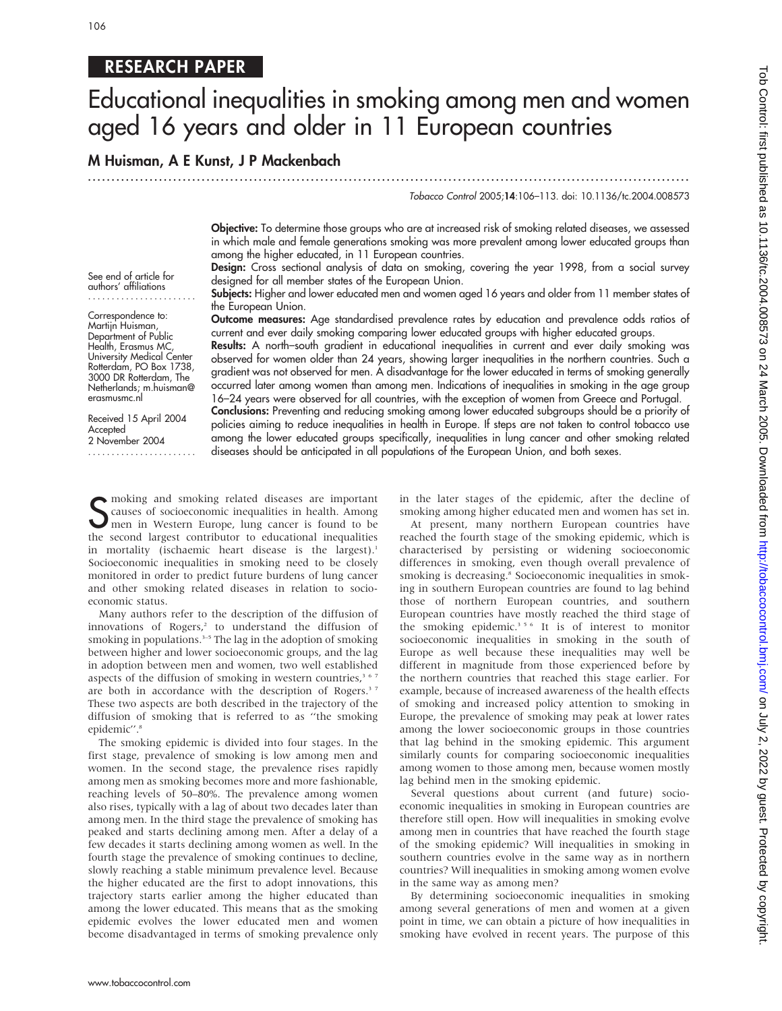### RESEARCH PAPER

## Educational inequalities in smoking among men and women aged 16 years and older in 11 European countries

M Huisman, A E Kunst, J P Mackenbach ...............................................................................................................................

Tobacco Control 2005;14:106–113. doi: 10.1136/tc.2004.008573

Objective: To determine those groups who are at increased risk of smoking related diseases, we assessed in which male and female generations smoking was more prevalent among lower educated groups than among the higher educated, in 11 European countries.

Design: Cross sectional analysis of data on smoking, covering the year 1998, from a social survey designed for all member states of the European Union.

Subjects: Higher and lower educated men and women aged 16 years and older from 11 member states of the European Union.

Outcome measures: Age standardised prevalence rates by education and prevalence odds ratios of current and ever daily smoking comparing lower educated groups with higher educated groups.

Results: A north–south gradient in educational inequalities in current and ever daily smoking was observed for women older than 24 years, showing larger inequalities in the northern countries. Such a gradient was not observed for men. A disadvantage for the lower educated in terms of smoking generally occurred later among women than among men. Indications of inequalities in smoking in the age group 16–24 years were observed for all countries, with the exception of women from Greece and Portugal. Conclusions: Preventing and reducing smoking among lower educated subgroups should be a priority of policies aiming to reduce inequalities in health in Europe. If steps are not taken to control tobacco use among the lower educated groups specifically, inequalities in lung cancer and other smoking related diseases should be anticipated in all populations of the European Union, and both sexes.

See end of article for authors' affiliations .......................

Correspondence to: Martijn Huisman, Department of Public Health, Erasmus MC, University Medical Center Rotterdam, PO Box 1738, 3000 DR Rotterdam, The Netherlands; m.huisman@ erasmusmc.nl

Received 15 April 2004 Accepted 2 November 2004

.......................

S moking and smoking related diseases are important<br>Causes of socioeconomic inequalities in health. Among<br>men in Western Europe, lung cancer is found to be<br>the second largest contributer to educational inequalities causes of socioeconomic inequalities in health. Among men in Western Europe, lung cancer is found to be the second largest contributor to educational inequalities in mortality (ischaemic heart disease is the largest).<sup>1</sup> Socioeconomic inequalities in smoking need to be closely monitored in order to predict future burdens of lung cancer and other smoking related diseases in relation to socioeconomic status.

Many authors refer to the description of the diffusion of innovations of Rogers,<sup>2</sup> to understand the diffusion of smoking in populations. $3-5$  The lag in the adoption of smoking between higher and lower socioeconomic groups, and the lag in adoption between men and women, two well established aspects of the diffusion of smoking in western countries,<sup>367</sup> are both in accordance with the description of Rogers.<sup>37</sup> These two aspects are both described in the trajectory of the diffusion of smoking that is referred to as ''the smoking epidemic".<sup>8</sup>

The smoking epidemic is divided into four stages. In the first stage, prevalence of smoking is low among men and women. In the second stage, the prevalence rises rapidly among men as smoking becomes more and more fashionable, reaching levels of 50–80%. The prevalence among women also rises, typically with a lag of about two decades later than among men. In the third stage the prevalence of smoking has peaked and starts declining among men. After a delay of a few decades it starts declining among women as well. In the fourth stage the prevalence of smoking continues to decline, slowly reaching a stable minimum prevalence level. Because the higher educated are the first to adopt innovations, this trajectory starts earlier among the higher educated than among the lower educated. This means that as the smoking epidemic evolves the lower educated men and women become disadvantaged in terms of smoking prevalence only in the later stages of the epidemic, after the decline of smoking among higher educated men and women has set in.

At present, many northern European countries have reached the fourth stage of the smoking epidemic, which is characterised by persisting or widening socioeconomic differences in smoking, even though overall prevalence of smoking is decreasing.<sup>8</sup> Socioeconomic inequalities in smoking in southern European countries are found to lag behind those of northern European countries, and southern European countries have mostly reached the third stage of the smoking epidemic.<sup>356</sup> It is of interest to monitor socioeconomic inequalities in smoking in the south of Europe as well because these inequalities may well be different in magnitude from those experienced before by the northern countries that reached this stage earlier. For example, because of increased awareness of the health effects of smoking and increased policy attention to smoking in Europe, the prevalence of smoking may peak at lower rates among the lower socioeconomic groups in those countries that lag behind in the smoking epidemic. This argument similarly counts for comparing socioeconomic inequalities among women to those among men, because women mostly lag behind men in the smoking epidemic.

Several questions about current (and future) socioeconomic inequalities in smoking in European countries are therefore still open. How will inequalities in smoking evolve among men in countries that have reached the fourth stage of the smoking epidemic? Will inequalities in smoking in southern countries evolve in the same way as in northern countries? Will inequalities in smoking among women evolve in the same way as among men?

By determining socioeconomic inequalities in smoking among several generations of men and women at a given point in time, we can obtain a picture of how inequalities in smoking have evolved in recent years. The purpose of this

www.tobaccocontrol.com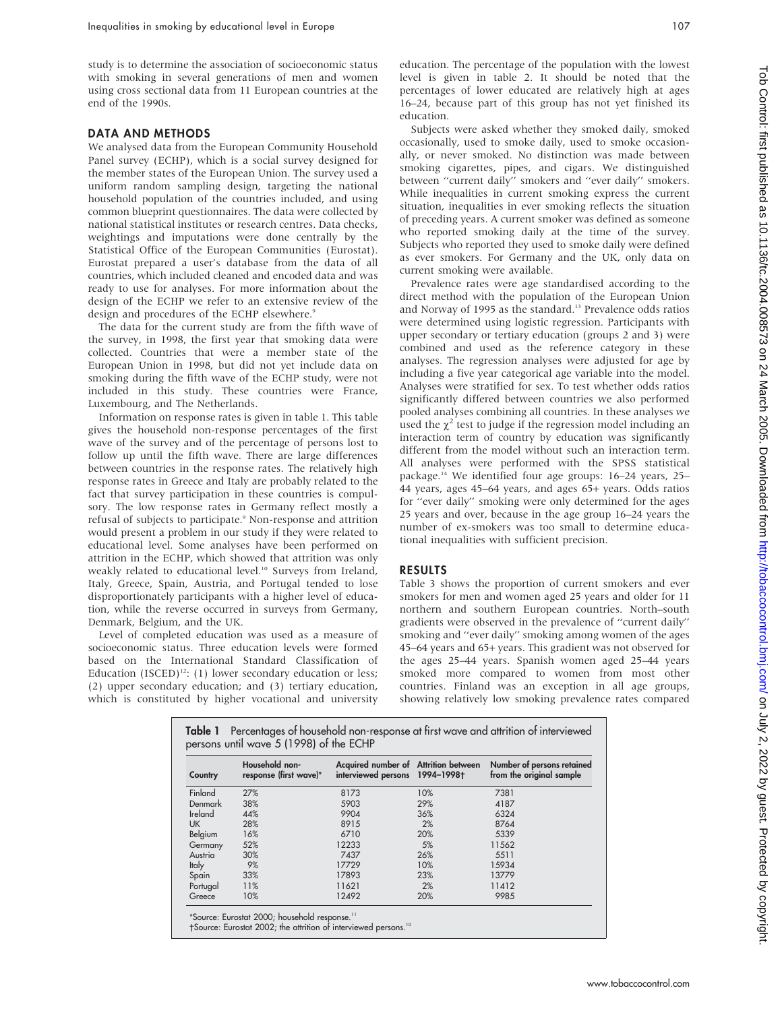study is to determine the association of socioeconomic status with smoking in several generations of men and women using cross sectional data from 11 European countries at the end of the 1990s.

#### DATA AND METHODS

We analysed data from the European Community Household Panel survey (ECHP), which is a social survey designed for the member states of the European Union. The survey used a uniform random sampling design, targeting the national household population of the countries included, and using common blueprint questionnaires. The data were collected by national statistical institutes or research centres. Data checks, weightings and imputations were done centrally by the Statistical Office of the European Communities (Eurostat). Eurostat prepared a user's database from the data of all countries, which included cleaned and encoded data and was ready to use for analyses. For more information about the design of the ECHP we refer to an extensive review of the design and procedures of the ECHP elsewhere.<sup>9</sup>

The data for the current study are from the fifth wave of the survey, in 1998, the first year that smoking data were collected. Countries that were a member state of the European Union in 1998, but did not yet include data on smoking during the fifth wave of the ECHP study, were not included in this study. These countries were France, Luxembourg, and The Netherlands.

Information on response rates is given in table 1. This table gives the household non-response percentages of the first wave of the survey and of the percentage of persons lost to follow up until the fifth wave. There are large differences between countries in the response rates. The relatively high response rates in Greece and Italy are probably related to the fact that survey participation in these countries is compulsory. The low response rates in Germany reflect mostly a refusal of subjects to participate.<sup>9</sup> Non-response and attrition would present a problem in our study if they were related to educational level. Some analyses have been performed on attrition in the ECHP, which showed that attrition was only weakly related to educational level.<sup>10</sup> Surveys from Ireland, Italy, Greece, Spain, Austria, and Portugal tended to lose disproportionately participants with a higher level of education, while the reverse occurred in surveys from Germany, Denmark, Belgium, and the UK.

Level of completed education was used as a measure of socioeconomic status. Three education levels were formed based on the International Standard Classification of Education (ISCED)<sup>12</sup>: (1) lower secondary education or less; (2) upper secondary education; and (3) tertiary education, which is constituted by higher vocational and university education. The percentage of the population with the lowest level is given in table 2. It should be noted that the percentages of lower educated are relatively high at ages 16–24, because part of this group has not yet finished its education.

Subjects were asked whether they smoked daily, smoked occasionally, used to smoke daily, used to smoke occasionally, or never smoked. No distinction was made between smoking cigarettes, pipes, and cigars. We distinguished between ''current daily'' smokers and ''ever daily'' smokers. While inequalities in current smoking express the current situation, inequalities in ever smoking reflects the situation of preceding years. A current smoker was defined as someone who reported smoking daily at the time of the survey. Subjects who reported they used to smoke daily were defined as ever smokers. For Germany and the UK, only data on current smoking were available.

Prevalence rates were age standardised according to the direct method with the population of the European Union and Norway of 1995 as the standard.<sup>13</sup> Prevalence odds ratios were determined using logistic regression. Participants with upper secondary or tertiary education (groups 2 and 3) were combined and used as the reference category in these analyses. The regression analyses were adjusted for age by including a five year categorical age variable into the model. Analyses were stratified for sex. To test whether odds ratios significantly differed between countries we also performed pooled analyses combining all countries. In these analyses we used the  $\chi^2$  test to judge if the regression model including an interaction term of country by education was significantly different from the model without such an interaction term. All analyses were performed with the SPSS statistical package.14 We identified four age groups: 16–24 years, 25– 44 years, ages 45–64 years, and ages 65+ years. Odds ratios for ''ever daily'' smoking were only determined for the ages 25 years and over, because in the age group 16–24 years the number of ex-smokers was too small to determine educational inequalities with sufficient precision.

#### RESULTS

Table 3 shows the proportion of current smokers and ever smokers for men and women aged 25 years and older for 11 northern and southern European countries. North–south gradients were observed in the prevalence of ''current daily'' smoking and ''ever daily'' smoking among women of the ages 45–64 years and 65+ years. This gradient was not observed for the ages 25–44 years. Spanish women aged 25–44 years smoked more compared to women from most other countries. Finland was an exception in all age groups, showing relatively low smoking prevalence rates compared

| Country        | Household non-<br>response (first wave)* | Acquired number of Attrition between<br>interviewed persons 1994-1998† |     | Number of persons retained<br>from the original sample |
|----------------|------------------------------------------|------------------------------------------------------------------------|-----|--------------------------------------------------------|
| Finland        | 27%                                      | 8173                                                                   | 10% | 7381                                                   |
| <b>Denmark</b> | 38%                                      | 5903                                                                   | 29% | 4187                                                   |
| Ireland        | 44%                                      | 9904                                                                   | 36% | 6324                                                   |
| UK.            | 28%                                      | 8915                                                                   | 2%  | 8764                                                   |
| Belgium        | 16%                                      | 6710                                                                   | 20% | 5339                                                   |
| Germany        | 52%                                      | 12233                                                                  | 5%  | 11562                                                  |
| Austria        | 30%                                      | 7437                                                                   | 26% | 5511                                                   |
| <b>Italy</b>   | 9%                                       | 17729                                                                  | 10% | 15934                                                  |
| Spain          | 33%                                      | 17893                                                                  | 23% | 13779                                                  |
| Portugal       | 11%                                      | 11621                                                                  | 2%  | 11412                                                  |
| Greece         | 10%                                      | 12492                                                                  | 20% | 9985                                                   |

†Source: Eurostat 2002; the attrition of interviewed persons.<sup>10</sup>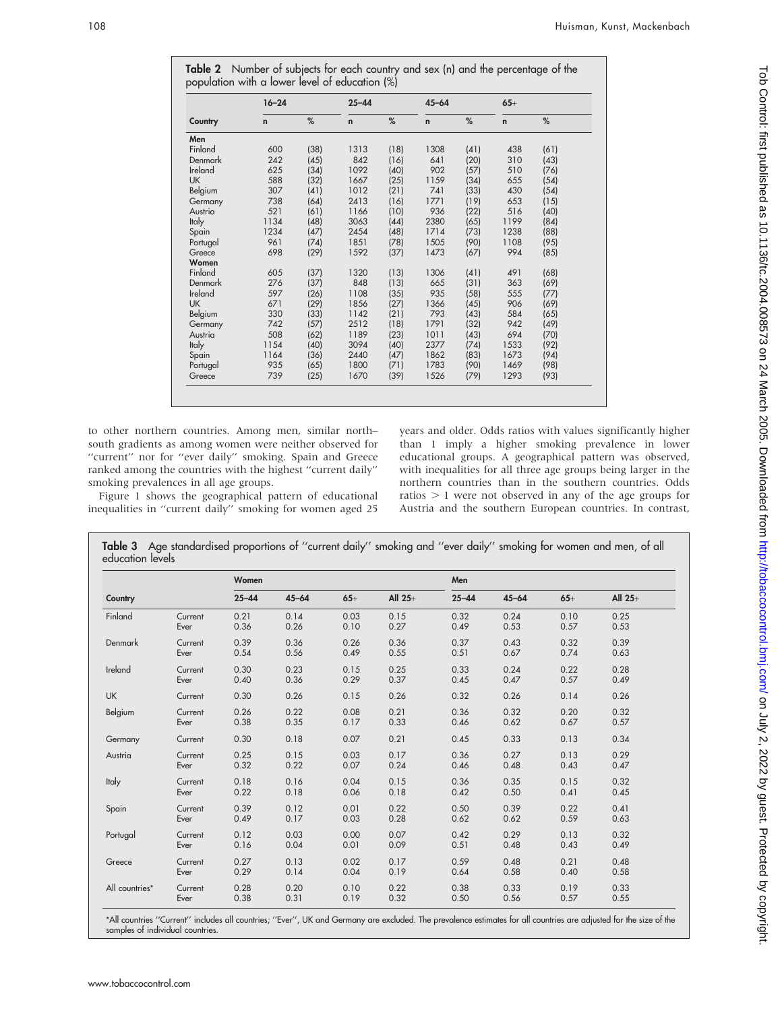$\sim$ 

|              | $16 - 24$ |      | $25 - 44$   |      | $45 - 64$   |      | $65+$ |      |
|--------------|-----------|------|-------------|------|-------------|------|-------|------|
| Country      | n         | %    | $\mathbf n$ | %    | $\mathbf n$ | %    | n     | %    |
| Men          |           |      |             |      |             |      |       |      |
| Finland      | 600       | (38) | 1313        | (18) | 1308        | (41) | 438   | (61) |
| Denmark      | 242       | (45) | 842         | (16) | 641         | (20) | 310   | (43) |
| Ireland      | 625       | (34) | 1092        | (40) | 902         | (57) | 510   | (76) |
| <b>UK</b>    | 588       | (32) | 1667        | (25) | 1159        | (34) | 655   | (54) |
| Belgium      | 307       | (41) | 1012        | (21) | 741         | (33) | 430   | (54) |
| Germany      | 738       | (64) | 2413        | (16) | 1771        | (19) | 653   | (15) |
| Austria      | 521       | (61) | 1166        | (10) | 936         | (22) | 516   | (40) |
| <b>Italy</b> | 1134      | (48) | 3063        | (44) | 2380        | (65) | 1199  | (84) |
| Spain        | 1234      | (47) | 2454        | (48) | 1714        | (73) | 1238  | (88) |
| Portugal     | 961       | (74) | 1851        | (78) | 1505        | (90) | 1108  | (95) |
| Greece       | 698       | (29) | 1592        | (37) | 1473        | (67) | 994   | (85) |
| Women        |           |      |             |      |             |      |       |      |
| Finland      | 605       | (37) | 1320        | (13) | 1306        | (41) | 491   | (68) |
| Denmark      | 276       | (37) | 848         | (13) | 665         | (31) | 363   | (69) |
| Ireland      | 597       | (26) | 1108        | (35) | 935         | (58) | 555   | (77) |
| <b>UK</b>    | 671       | (29) | 1856        | (27) | 1366        | (45) | 906   | (69) |
| Belgium      | 330       | (33) | 1142        | (21) | 793         | (43) | 584   | (65) |
| Germany      | 742       | (57) | 2512        | (18) | 1791        | (32) | 942   | (49) |
| Austria      | 508       | (62) | 1189        | (23) | 1011        | (43) | 694   | (70) |
| <b>Italy</b> | 1154      | (40) | 3094        | (40) | 2377        | (74) | 1533  | (92) |
| Spain        | 1164      | (36) | 2440        | (47) | 1862        | (83) | 1673  | (94) |
| Portugal     | 935       | (65) | 1800        | (71) | 1783        | (90) | 1469  | (98) |
| Greece       | 739       | (25) | 1670        | (39) | 1526        | (79) | 1293  | (93) |

to other northern countries. Among men, similar north– south gradients as among women were neither observed for "current" nor for "ever daily" smoking. Spain and Greece ranked among the countries with the highest ''current daily'' smoking prevalences in all age groups.

Figure 1 shows the geographical pattern of educational inequalities in ''current daily'' smoking for women aged 25

years and older. Odds ratios with values significantly higher than 1 imply a higher smoking prevalence in lower educational groups. A geographical pattern was observed, with inequalities for all three age groups being larger in the northern countries than in the southern countries. Odds ratios  $> 1$  were not observed in any of the age groups for Austria and the southern European countries. In contrast,

|                  | Table 3 Age standardised proportions of "current daily" smoking and "ever daily" smoking for women and men, of all |  |  |
|------------------|--------------------------------------------------------------------------------------------------------------------|--|--|
| education levels |                                                                                                                    |  |  |

|                |         | Women     |           |       |           | Men       |           |       |           |
|----------------|---------|-----------|-----------|-------|-----------|-----------|-----------|-------|-----------|
| Country        |         | $25 - 44$ | $45 - 64$ | $65+$ | All $25+$ | $25 - 44$ | $45 - 64$ | $65+$ | All $25+$ |
| Finland        | Current | 0.21      | 0.14      | 0.03  | 0.15      | 0.32      | 0.24      | 0.10  | 0.25      |
|                | Ever    | 0.36      | 0.26      | 0.10  | 0.27      | 0.49      | 0.53      | 0.57  | 0.53      |
| <b>Denmark</b> | Current | 0.39      | 0.36      | 0.26  | 0.36      | 0.37      | 0.43      | 0.32  | 0.39      |
|                | Ever    | 0.54      | 0.56      | 0.49  | 0.55      | 0.51      | 0.67      | 0.74  | 0.63      |
| Ireland        | Current | 0.30      | 0.23      | 0.15  | 0.25      | 0.33      | 0.24      | 0.22  | 0.28      |
|                | Ever    | 0.40      | 0.36      | 0.29  | 0.37      | 0.45      | 0.47      | 0.57  | 0.49      |
| UK             | Current | 0.30      | 0.26      | 0.15  | 0.26      | 0.32      | 0.26      | 0.14  | 0.26      |
| Belgium        | Current | 0.26      | 0.22      | 0.08  | 0.21      | 0.36      | 0.32      | 0.20  | 0.32      |
|                | Ever    | 0.38      | 0.35      | 0.17  | 0.33      | 0.46      | 0.62      | 0.67  | 0.57      |
| Germany        | Current | 0.30      | 0.18      | 0.07  | 0.21      | 0.45      | 0.33      | 0.13  | 0.34      |
| Austria        | Current | 0.25      | 0.15      | 0.03  | 0.17      | 0.36      | 0.27      | 0.13  | 0.29      |
|                | Ever    | 0.32      | 0.22      | 0.07  | 0.24      | 0.46      | 0.48      | 0.43  | 0.47      |
| <b>Italy</b>   | Current | 0.18      | 0.16      | 0.04  | 0.15      | 0.36      | 0.35      | 0.15  | 0.32      |
|                | Ever    | 0.22      | 0.18      | 0.06  | 0.18      | 0.42      | 0.50      | 0.41  | 0.45      |
| Spain          | Current | 0.39      | 0.12      | 0.01  | 0.22      | 0.50      | 0.39      | 0.22  | 0.41      |
|                | Ever    | 0.49      | 0.17      | 0.03  | 0.28      | 0.62      | 0.62      | 0.59  | 0.63      |
| Portugal       | Current | 0.12      | 0.03      | 0.00  | 0.07      | 0.42      | 0.29      | 0.13  | 0.32      |
|                | Ever    | 0.16      | 0.04      | 0.01  | 0.09      | 0.51      | 0.48      | 0.43  | 0.49      |
| Greece         | Current | 0.27      | 0.13      | 0.02  | 0.17      | 0.59      | 0.48      | 0.21  | 0.48      |
|                | Ever    | 0.29      | 0.14      | 0.04  | 0.19      | 0.64      | 0.58      | 0.40  | 0.58      |
| All countries* | Current | 0.28      | 0.20      | 0.10  | 0.22      | 0.38      | 0.33      | 0.19  | 0.33      |
|                | Ever    | 0.38      | 0.31      | 0.19  | 0.32      | 0.50      | 0.56      | 0.57  | 0.55      |

\*All countries ''Current'' includes all countries; ''Ever'', UK and Germany are excluded. The prevalence estimates for all countries are adjusted for the size of the samples of individual countries.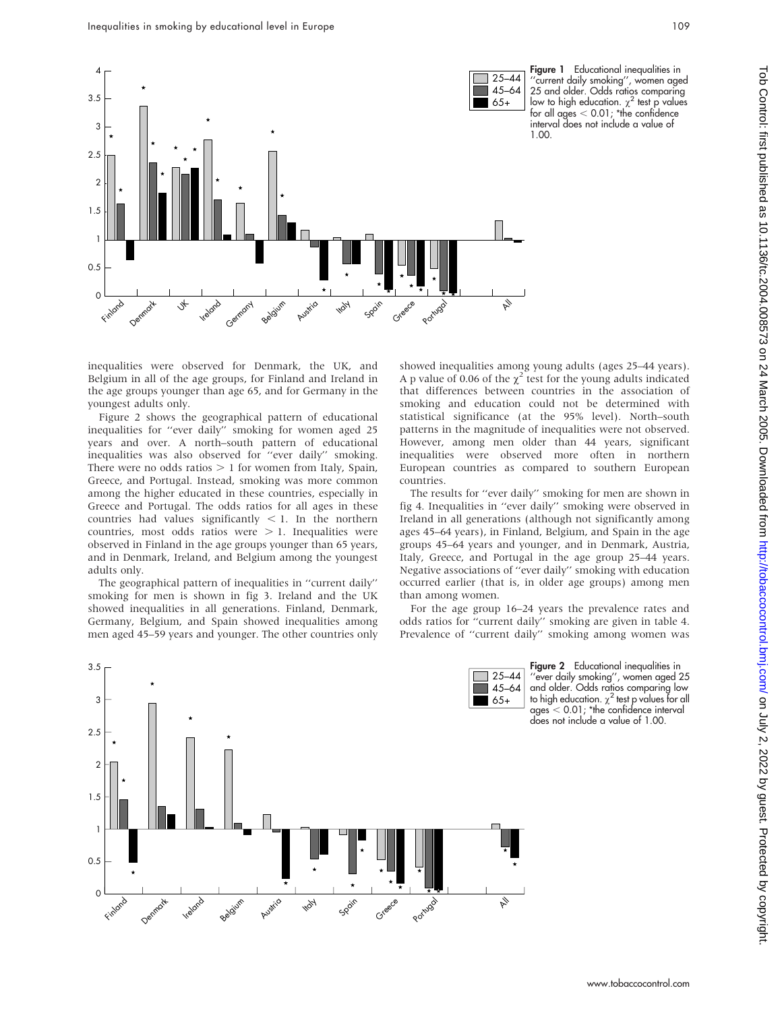

Figure 1 Educational inequalities in 'current daily smoking'', women aged 25 and older. Odds ratios comparing low to high education.  $\chi^2$  test p values for all ages  $<$  0.01; \*the confidence interval does not include a value of 1.00.

inequalities were observed for Denmark, the UK, and Belgium in all of the age groups, for Finland and Ireland in the age groups younger than age 65, and for Germany in the youngest adults only.

Figure 2 shows the geographical pattern of educational inequalities for ''ever daily'' smoking for women aged 25 years and over. A north–south pattern of educational inequalities was also observed for ''ever daily'' smoking. There were no odds ratios  $> 1$  for women from Italy, Spain, Greece, and Portugal. Instead, smoking was more common among the higher educated in these countries, especially in Greece and Portugal. The odds ratios for all ages in these countries had values significantly  $<$  1. In the northern countries, most odds ratios were  $> 1$ . Inequalities were observed in Finland in the age groups younger than 65 years, and in Denmark, Ireland, and Belgium among the youngest adults only.

The geographical pattern of inequalities in ''current daily'' smoking for men is shown in fig 3. Ireland and the UK showed inequalities in all generations. Finland, Denmark, Germany, Belgium, and Spain showed inequalities among men aged 45–59 years and younger. The other countries only

showed inequalities among young adults (ages 25–44 years). A p value of 0.06 of the  $\chi^2$  test for the young adults indicated that differences between countries in the association of smoking and education could not be determined with statistical significance (at the 95% level). North–south patterns in the magnitude of inequalities were not observed. However, among men older than 44 years, significant inequalities were observed more often in northern European countries as compared to southern European countries.

The results for "ever daily" smoking for men are shown in fig 4. Inequalities in ''ever daily'' smoking were observed in Ireland in all generations (although not significantly among ages 45–64 years), in Finland, Belgium, and Spain in the age groups 45–64 years and younger, and in Denmark, Austria, Italy, Greece, and Portugal in the age group 25–44 years. Negative associations of ''ever daily'' smoking with education occurred earlier (that is, in older age groups) among men than among women.

For the age group 16–24 years the prevalence rates and odds ratios for ''current daily'' smoking are given in table 4. Prevalence of ''current daily'' smoking among women was

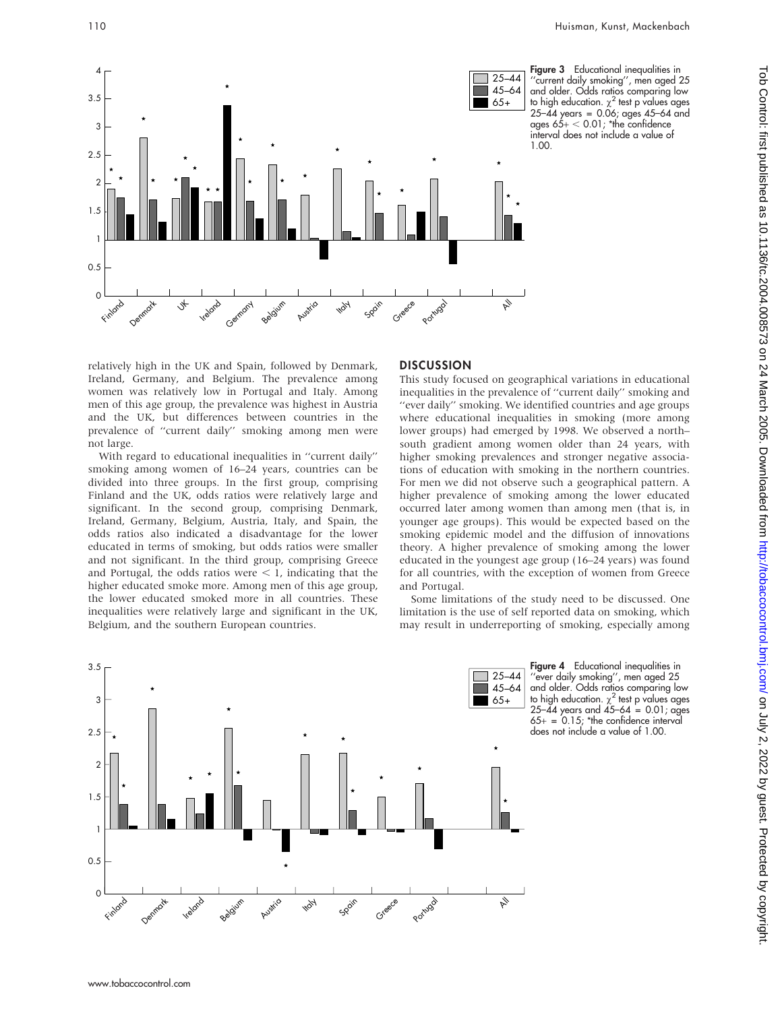

Figure 3 Educational inequalities in ''current daily smoking'', men aged 25 and older. Odds ratios comparing low to high education.  $\chi^2$  test p values ages 25–44 years = 0.06; ages 45–64 and ages  $65+ < 0.01$ ; \*the confidence interval does not include a value of 1.00.

relatively high in the UK and Spain, followed by Denmark, Ireland, Germany, and Belgium. The prevalence among women was relatively low in Portugal and Italy. Among men of this age group, the prevalence was highest in Austria and the UK, but differences between countries in the prevalence of ''current daily'' smoking among men were not large.

With regard to educational inequalities in ''current daily'' smoking among women of 16–24 years, countries can be divided into three groups. In the first group, comprising Finland and the UK, odds ratios were relatively large and significant. In the second group, comprising Denmark, Ireland, Germany, Belgium, Austria, Italy, and Spain, the odds ratios also indicated a disadvantage for the lower educated in terms of smoking, but odds ratios were smaller and not significant. In the third group, comprising Greece and Portugal, the odds ratios were  $\lt 1$ , indicating that the higher educated smoke more. Among men of this age group, the lower educated smoked more in all countries. These inequalities were relatively large and significant in the UK, Belgium, and the southern European countries.

#### **DISCUSSION**

This study focused on geographical variations in educational inequalities in the prevalence of ''current daily'' smoking and ''ever daily'' smoking. We identified countries and age groups where educational inequalities in smoking (more among lower groups) had emerged by 1998. We observed a north– south gradient among women older than 24 years, with higher smoking prevalences and stronger negative associations of education with smoking in the northern countries. For men we did not observe such a geographical pattern. A higher prevalence of smoking among the lower educated occurred later among women than among men (that is, in younger age groups). This would be expected based on the smoking epidemic model and the diffusion of innovations theory. A higher prevalence of smoking among the lower educated in the youngest age group (16–24 years) was found for all countries, with the exception of women from Greece and Portugal.

Some limitations of the study need to be discussed. One limitation is the use of self reported data on smoking, which may result in underreporting of smoking, especially among



Figure 4 Educational inequalities in 'ever daily smoking", men aged 25 and older. Odds ratios comparing low to high education.  $\chi^2$  test p values ages  $25-\frac{1}{4}$  years and  $45-64 = 0.01$ ; ages  $65+ = 0.15$ ; \*the confidence interval does not include a value of 1.00.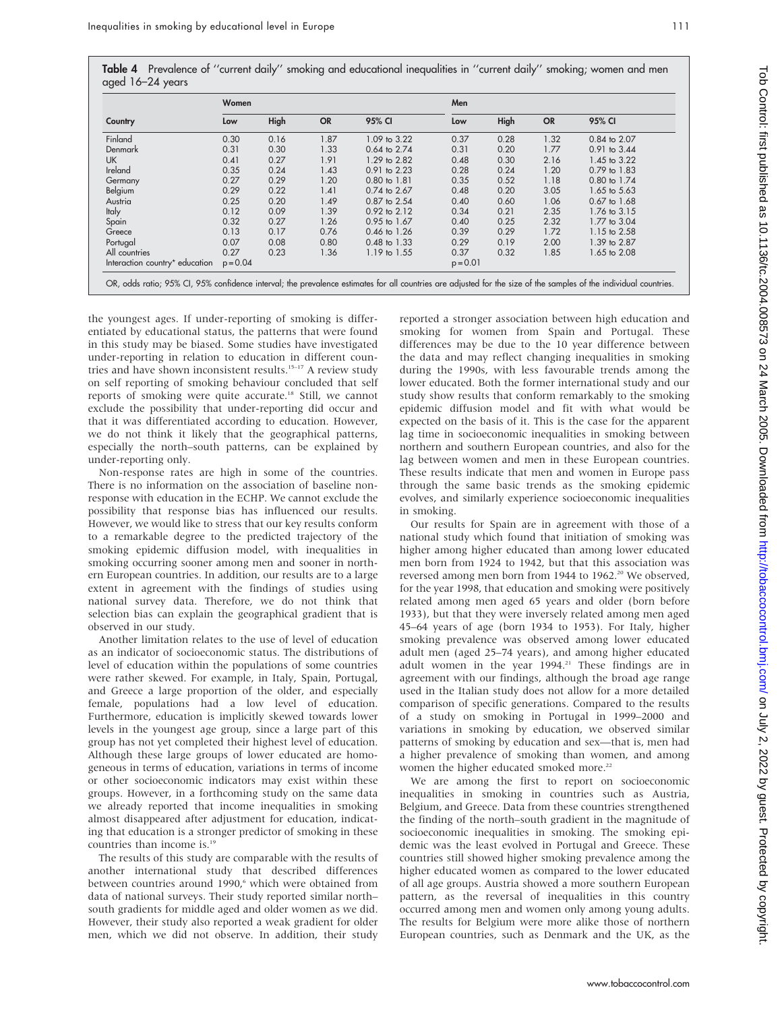Table 4 Prevalence of ''current daily'' smoking and educational inequalities in ''current daily'' smoking; women and men aged 16–24 years

|                                | Women      |      |           |                  |            | Men  |           |                  |  |  |
|--------------------------------|------------|------|-----------|------------------|------------|------|-----------|------------------|--|--|
| Country                        | Low        | High | <b>OR</b> | 95% CI           | Low        | High | <b>OR</b> | 95% CI           |  |  |
| Finland                        | 0.30       | 0.16 | 1.87      | 1.09 to 3.22     | 0.37       | 0.28 | 1.32      | 0.84 to 2.07     |  |  |
| Denmark                        | 0.31       | 0.30 | 1.33      | 0.64 to 2.74     | 0.31       | 0.20 | 1.77      | 0.91 to 3.44     |  |  |
| <b>UK</b>                      | 0.41       | 0.27 | 1.91      | 1.29 to 2.82     | 0.48       | 0.30 | 2.16      | 1.45 to 3.22     |  |  |
| Ireland                        | 0.35       | 0.24 | 1.43      | 0.91 to 2.23     | 0.28       | 0.24 | 1.20      | 0.79 to 1.83     |  |  |
| Germany                        | 0.27       | 0.29 | 1.20      | 0.80 to 1.81     | 0.35       | 0.52 | 1.18      | 0.80 to 1.74     |  |  |
| Belgium                        | 0.29       | 0.22 | 1.41      | 0.74 to 2.67     | 0.48       | 0.20 | 3.05      | 1.65 to 5.63     |  |  |
| Austria                        | 0.25       | 0.20 | 1.49      | 0.87 to 2.54     | 0.40       | 0.60 | 1.06      | $0.67$ to $1.68$ |  |  |
| <b>Italy</b>                   | 0.12       | 0.09 | 1.39      | 0.92 to 2.12     | 0.34       | 0.21 | 2.35      | 1.76 to 3.15     |  |  |
| Spain                          | 0.32       | 0.27 | 1.26      | 0.95 to 1.67     | 0.40       | 0.25 | 2.32      | 1.77 to 3.04     |  |  |
| Greece                         | 0.13       | 0.17 | 0.76      | $0.46$ to 1.26   | 0.39       | 0.29 | 1.72      | 1.15 to 2.58     |  |  |
| Portugal                       | 0.07       | 0.08 | 0.80      | $0.48$ to $1.33$ | 0.29       | 0.19 | 2.00      | 1.39 to 2.87     |  |  |
| All countries                  | 0.27       | 0.23 | 1.36      | 1.19 to 1.55     | 0.37       | 0.32 | 1.85      | 1.65 to 2.08     |  |  |
| Interaction country* education | $p = 0.04$ |      |           |                  | $p = 0.01$ |      |           |                  |  |  |

the youngest ages. If under-reporting of smoking is differentiated by educational status, the patterns that were found in this study may be biased. Some studies have investigated under-reporting in relation to education in different countries and have shown inconsistent results.<sup>15-17</sup> A review study on self reporting of smoking behaviour concluded that self reports of smoking were quite accurate.18 Still, we cannot exclude the possibility that under-reporting did occur and that it was differentiated according to education. However, we do not think it likely that the geographical patterns, especially the north–south patterns, can be explained by under-reporting only.

Non-response rates are high in some of the countries. There is no information on the association of baseline nonresponse with education in the ECHP. We cannot exclude the possibility that response bias has influenced our results. However, we would like to stress that our key results conform to a remarkable degree to the predicted trajectory of the smoking epidemic diffusion model, with inequalities in smoking occurring sooner among men and sooner in northern European countries. In addition, our results are to a large extent in agreement with the findings of studies using national survey data. Therefore, we do not think that selection bias can explain the geographical gradient that is observed in our study.

Another limitation relates to the use of level of education as an indicator of socioeconomic status. The distributions of level of education within the populations of some countries were rather skewed. For example, in Italy, Spain, Portugal, and Greece a large proportion of the older, and especially female, populations had a low level of education. Furthermore, education is implicitly skewed towards lower levels in the youngest age group, since a large part of this group has not yet completed their highest level of education. Although these large groups of lower educated are homogeneous in terms of education, variations in terms of income or other socioeconomic indicators may exist within these groups. However, in a forthcoming study on the same data we already reported that income inequalities in smoking almost disappeared after adjustment for education, indicating that education is a stronger predictor of smoking in these countries than income is.19

The results of this study are comparable with the results of another international study that described differences between countries around 1990,<sup>6</sup> which were obtained from data of national surveys. Their study reported similar north– south gradients for middle aged and older women as we did. However, their study also reported a weak gradient for older men, which we did not observe. In addition, their study reported a stronger association between high education and smoking for women from Spain and Portugal. These differences may be due to the 10 year difference between the data and may reflect changing inequalities in smoking during the 1990s, with less favourable trends among the lower educated. Both the former international study and our study show results that conform remarkably to the smoking epidemic diffusion model and fit with what would be expected on the basis of it. This is the case for the apparent lag time in socioeconomic inequalities in smoking between northern and southern European countries, and also for the lag between women and men in these European countries. These results indicate that men and women in Europe pass through the same basic trends as the smoking epidemic evolves, and similarly experience socioeconomic inequalities in smoking.

Our results for Spain are in agreement with those of a national study which found that initiation of smoking was higher among higher educated than among lower educated men born from 1924 to 1942, but that this association was reversed among men born from 1944 to 1962.<sup>20</sup> We observed, for the year 1998, that education and smoking were positively related among men aged 65 years and older (born before 1933), but that they were inversely related among men aged 45–64 years of age (born 1934 to 1953). For Italy, higher smoking prevalence was observed among lower educated adult men (aged 25–74 years), and among higher educated adult women in the year 1994.<sup>21</sup> These findings are in agreement with our findings, although the broad age range used in the Italian study does not allow for a more detailed comparison of specific generations. Compared to the results of a study on smoking in Portugal in 1999–2000 and variations in smoking by education, we observed similar patterns of smoking by education and sex—that is, men had a higher prevalence of smoking than women, and among women the higher educated smoked more.<sup>22</sup>

We are among the first to report on socioeconomic inequalities in smoking in countries such as Austria, Belgium, and Greece. Data from these countries strengthened the finding of the north–south gradient in the magnitude of socioeconomic inequalities in smoking. The smoking epidemic was the least evolved in Portugal and Greece. These countries still showed higher smoking prevalence among the higher educated women as compared to the lower educated of all age groups. Austria showed a more southern European pattern, as the reversal of inequalities in this country occurred among men and women only among young adults. The results for Belgium were more alike those of northern European countries, such as Denmark and the UK, as the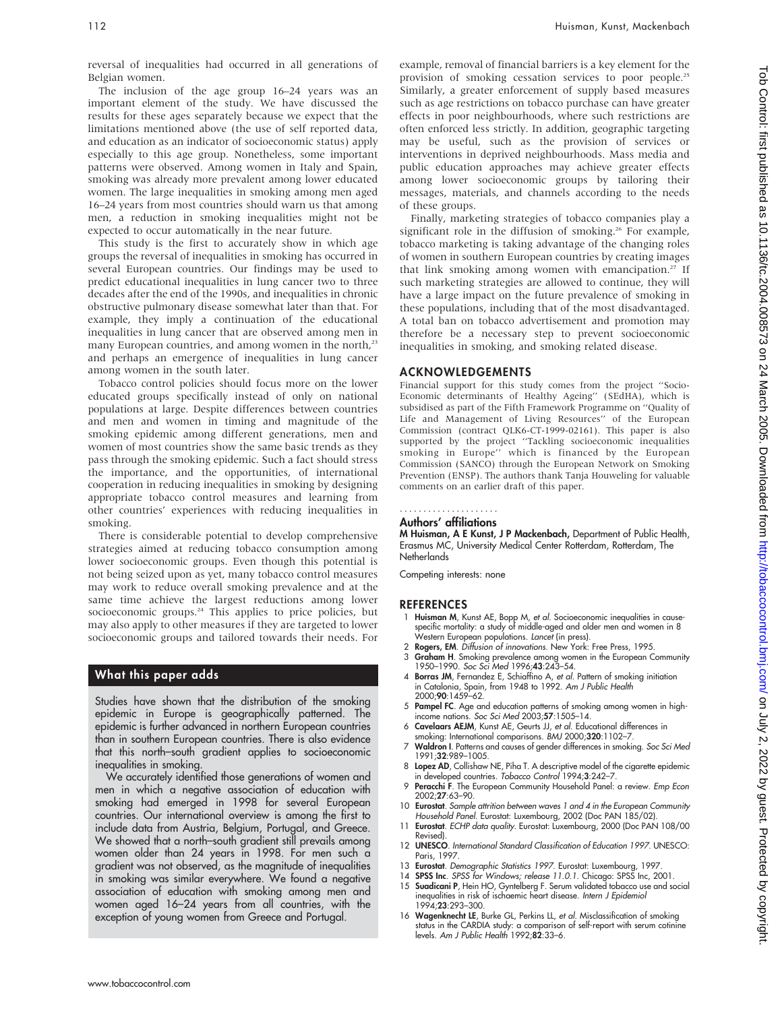reversal of inequalities had occurred in all generations of Belgian women.

The inclusion of the age group 16–24 years was an important element of the study. We have discussed the results for these ages separately because we expect that the limitations mentioned above (the use of self reported data, and education as an indicator of socioeconomic status) apply especially to this age group. Nonetheless, some important patterns were observed. Among women in Italy and Spain, smoking was already more prevalent among lower educated women. The large inequalities in smoking among men aged 16–24 years from most countries should warn us that among men, a reduction in smoking inequalities might not be expected to occur automatically in the near future.

This study is the first to accurately show in which age groups the reversal of inequalities in smoking has occurred in several European countries. Our findings may be used to predict educational inequalities in lung cancer two to three decades after the end of the 1990s, and inequalities in chronic obstructive pulmonary disease somewhat later than that. For example, they imply a continuation of the educational inequalities in lung cancer that are observed among men in many European countries, and among women in the north,<sup>23</sup> and perhaps an emergence of inequalities in lung cancer among women in the south later.

Tobacco control policies should focus more on the lower educated groups specifically instead of only on national populations at large. Despite differences between countries and men and women in timing and magnitude of the smoking epidemic among different generations, men and women of most countries show the same basic trends as they pass through the smoking epidemic. Such a fact should stress the importance, and the opportunities, of international cooperation in reducing inequalities in smoking by designing appropriate tobacco control measures and learning from other countries' experiences with reducing inequalities in smoking.

There is considerable potential to develop comprehensive strategies aimed at reducing tobacco consumption among lower socioeconomic groups. Even though this potential is not being seized upon as yet, many tobacco control measures may work to reduce overall smoking prevalence and at the same time achieve the largest reductions among lower socioeconomic groups.<sup>24</sup> This applies to price policies, but may also apply to other measures if they are targeted to lower socioeconomic groups and tailored towards their needs. For

#### What this paper adds

Studies have shown that the distribution of the smoking epidemic in Europe is geographically patterned. The epidemic is further advanced in northern European countries than in southern European countries. There is also evidence that this north–south gradient applies to socioeconomic inequalities in smoking.

We accurately identified those generations of women and men in which a negative association of education with smoking had emerged in 1998 for several European countries. Our international overview is among the first to include data from Austria, Belgium, Portugal, and Greece. We showed that a north-south gradient still prevails among women older than 24 years in 1998. For men such a gradient was not observed, as the magnitude of inequalities in smoking was similar everywhere. We found a negative association of education with smoking among men and women aged 16–24 years from all countries, with the exception of young women from Greece and Portugal.

example, removal of financial barriers is a key element for the provision of smoking cessation services to poor people.<sup>25</sup> Similarly, a greater enforcement of supply based measures such as age restrictions on tobacco purchase can have greater effects in poor neighbourhoods, where such restrictions are often enforced less strictly. In addition, geographic targeting may be useful, such as the provision of services or interventions in deprived neighbourhoods. Mass media and public education approaches may achieve greater effects among lower socioeconomic groups by tailoring their messages, materials, and channels according to the needs of these groups.

Finally, marketing strategies of tobacco companies play a significant role in the diffusion of smoking.<sup>26</sup> For example, tobacco marketing is taking advantage of the changing roles of women in southern European countries by creating images that link smoking among women with emancipation.<sup>27</sup> If such marketing strategies are allowed to continue, they will have a large impact on the future prevalence of smoking in these populations, including that of the most disadvantaged. A total ban on tobacco advertisement and promotion may therefore be a necessary step to prevent socioeconomic inequalities in smoking, and smoking related disease.

#### ACKNOWLEDGEMENTS

Financial support for this study comes from the project ''Socio-Economic determinants of Healthy Ageing'' (SEdHA), which is subsidised as part of the Fifth Framework Programme on ''Quality of Life and Management of Living Resources'' of the European Commission (contract QLK6-CT-1999-02161). This paper is also supported by the project ''Tackling socioeconomic inequalities smoking in Europe'' which is financed by the European Commission (SANCO) through the European Network on Smoking Prevention (ENSP). The authors thank Tanja Houweling for valuable comments on an earlier draft of this paper.

#### Authors' affiliations .....................

M Huisman, A E Kunst, J P Mackenbach, Department of Public Health, Erasmus MC, University Medical Center Rotterdam, Rotterdam, The **Netherlands** 

Competing interests: none

#### REFERENCES

- 1 Huisman M, Kunst AE, Bopp M, et al. Socioeconomic inequalities in causespecific mortality: a study of middle-aged and older men and women in 8<br>Western European populations. *Lancet* (in press).
- 2 Rogers, EM. Diffusion of innovations. New York: Free Press, 1995.
- 3 Graham H. Smoking prevalence among women in the European Community 1950–1990. Soc Sci Med 1996;43:243–54.
- 4 Borras JM, Fernandez E, Schiaffino A, et al. Pattern of smoking initiation in Catalonia, Spain, from 1948 to 1992. Am J Public Health 2000;90:1459–62.
- 5 Pampel FC. Age and education patterns of smoking among women in highincome nations. Soc Sci Med 2003;57:1505–14.
- 6 Cavelaars AEJM, Kunst AE, Geurts JJ, et al. Educational differences in smoking: International comparisons. BMJ 2000;320:1102-7.
- 7 Waldron I. Patterns and causes of gender differences in smoking. Soc Sci Med 1991;32:989–1005.
- 8 Lopez AD, Collishaw NE, Piha T. A descriptive model of the cigarette epidemic
- in developed countries. *Tobacco Control* 1994;**3**:242–7.<br>9 Peracchi F. The European Community Household Panel: a review. *Emp Econ* 2002;27:63–90.
- 10 **Eurostat**. Sample attrition between waves 1 and 4 in the European Community Household Panel. Eurostat: Luxembourg, 2002 (Doc PAN 185/02).
- 11 Eurostat. ECHP data quality. Eurostat: Luxembourg, 2000 (Doc PAN 108/00 Revised).
- 12 **UNESCO**. International Standard Classification of Education 1997. UNESCO: Paris, 1997.
- 13 Eurostat. Demographic Statistics 1997. Eurostat: Luxembourg, 1997
- SPSS Inc. SPSS for Windows; release 11.0.1. Chicago: SPSS Inc, 2001. 15 Suadicani P, Hein HO, Gyntelberg F. Serum validated tobacco use and social inequalities in risk of ischaemic heart disease. Intern J Epidemiol 1994;23:293–300.
- 16 Wagenknecht LE, Burke GL, Perkins LL, et al. Misclassification of smoking status in the CARDIA study: a comparison of self-report with serum cotinine<br>levels. A*m J Public Health* 1992;**82**:33–6.